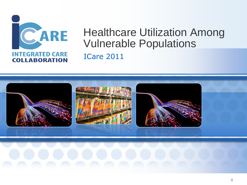

# Healthcare Utilization Among Vulnerable Populations

ICare 2011

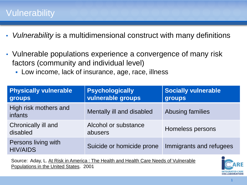# **Vulnerability**

- *Vulnerability* is a multidimensional construct with many definitions
- Vulnerable populations experience a convergence of many risk factors (community and individual level)
	- Low income, lack of insurance, age, race, illness

| <b>Physically vulnerable</b><br>groups | <b>Psychologically</b><br>vulnerable groups | <b>Socially vulnerable</b><br>groups |
|----------------------------------------|---------------------------------------------|--------------------------------------|
| High risk mothers and<br>infants       | Mentally ill and disabled                   | <b>Abusing families</b>              |
| Chronically ill and<br>disabled        | Alcohol or substance<br>abusers             | Homeless persons                     |
| Persons living with<br><b>HIV/AIDS</b> | Suicide or homicide prone                   | Immigrants and refugees              |

Source: Aday, L. At Risk in America : The Health and Health Care Needs of Vulnerable Populations in the United States. 2001

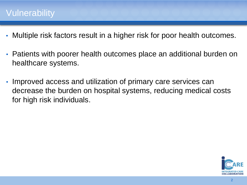### **Vulnerability**

- Multiple risk factors result in a higher risk for poor health outcomes.
- Patients with poorer health outcomes place an additional burden on healthcare systems.
- Improved access and utilization of primary care services can decrease the burden on hospital systems, reducing medical costs for high risk individuals.

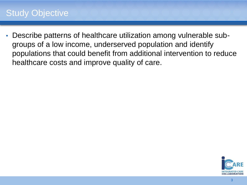# Study Objective

• Describe patterns of healthcare utilization among vulnerable subgroups of a low income, underserved population and identify populations that could benefit from additional intervention to reduce healthcare costs and improve quality of care.

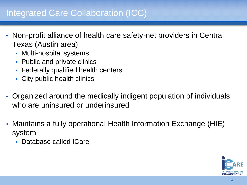#### Integrated Care Collaboration (ICC)

- Non-profit alliance of health care safety-net providers in Central Texas (Austin area)
	- Multi-hospital systems
	- **Public and private clinics**
	- **Federally qualified health centers**
	- City public health clinics
- Organized around the medically indigent population of individuals who are uninsured or underinsured
- Maintains a fully operational Health Information Exchange (HIE) system
	- Database called ICare

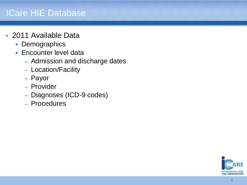# ICare HIE Database

- 2011 Available Data
	- **Demographics**
	- **Encounter level data** 
		- ‒ Admission and discharge dates
		- ‒ Location/Facility
		- ‒ Payor
		- ‒ Provider
		- ‒ Diagnoses (ICD-9 codes)
		- ‒ Procedures

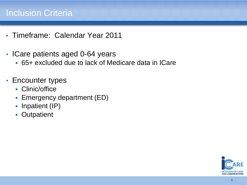#### Inclusion Criteria

- Timeframe: Calendar Year 2011
- ICare patients aged 0-64 years
	- 65+ excluded due to lack of Medicare data in ICare
- Encounter types
	- Clinic/office
	- **Emergency department (ED)**
	- Inpatient (IP)
	- Outpatient

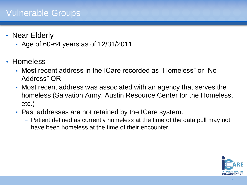#### Vulnerable Groups

- Near Elderly
	- Age of 60-64 years as of 12/31/2011
- Homeless
	- Most recent address in the ICare recorded as "Homeless" or "No Address" OR
	- Most recent address was associated with an agency that serves the homeless (Salvation Army, Austin Resource Center for the Homeless, etc.)
	- **Past addresses are not retained by the ICare system.** 
		- ‒ Patient defined as currently homeless at the time of the data pull may not have been homeless at the time of their encounter.

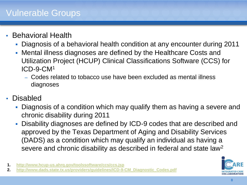#### • Behavioral Health

- Diagnosis of a behavioral health condition at any encounter during 2011
- Mental illness diagnoses are defined by the Healthcare Costs and Utilization Project (HCUP) Clinical Classifications Software (CCS) for ICD-9-CM<sup>1</sup>
	- ‒ Codes related to tobacco use have been excluded as mental illness diagnoses
- Disabled
	- Diagnosis of a condition which may qualify them as having a severe and chronic disability during 2011
	- Disability diagnoses are defined by ICD-9 codes that are described and approved by the Texas Department of Aging and Disability Services (DADS) as a condition which may qualify an individual as having a severe and chronic disability as described in federal and state law<sup>2</sup>



**<sup>1.</sup> <http://www.hcup-us.ahrq.gov/toolssoftware/ccs/ccs.jsp>**

**<sup>2.</sup> [http://www.dads.state.tx.us/providers/guidelines/ICD-9-CM\\_Diagnostic\\_Codes.pdf](http://www.dads.state.tx.us/providers/guidelines/ICD-9-CM_Diagnostic_Codes.pdf)**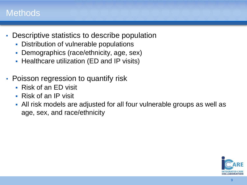#### **Methods**

- Descriptive statistics to describe population
	- **Distribution of vulnerable populations**
	- Demographics (race/ethnicity, age, sex)
	- **Healthcare utilization (ED and IP visits)**
- Poisson regression to quantify risk
	- Risk of an ED visit
	- Risk of an IP visit
	- All risk models are adjusted for all four vulnerable groups as well as age, sex, and race/ethnicity

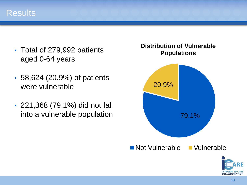#### Results

- Total of 279,992 patients aged 0-64 years
- 58,624 (20.9%) of patients were vulnerable
- 221,368 (79.1%) did not fall into a vulnerable population and the contract of the contract of the contract of the contract of the contract o

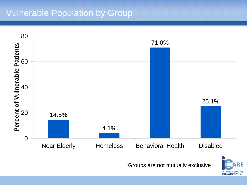### Vulnerable Population by Group



\*Groups are not mutually exclusive



**INTEGRATED CARE**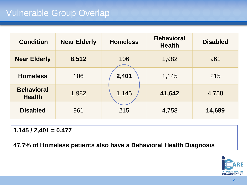### Vulnerable Group Overlap

| <b>Condition</b>                   | <b>Near Elderly</b> | <b>Homeless</b> | <b>Behavioral</b><br><b>Health</b> | <b>Disabled</b> |
|------------------------------------|---------------------|-----------------|------------------------------------|-----------------|
| <b>Near Elderly</b>                | 8,512               | 106             | 1,982                              | 961             |
| <b>Homeless</b>                    | 106                 | 2,401           | 1,145                              | 215             |
| <b>Behavioral</b><br><b>Health</b> | 1,982               | 1,145           | 41,642                             | 4,758           |
| <b>Disabled</b>                    | 961                 | 215             | 4,758                              | 14,689          |

**1,145 / 2,401 = 0.477**

**47.7% of Homeless patients also have a Behavioral Health Diagnosis**

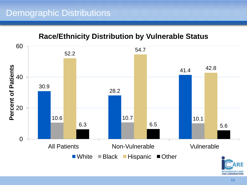#### **Race/Ethnicity Distribution by Vulnerable Status**



**RF COLLABORATION**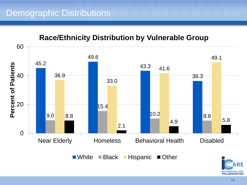



**COLLABORATION** 14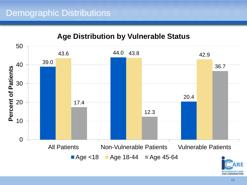



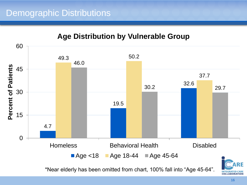#### **Age Distribution by Vulnerable Group**



\*Near elderly has been omitted from chart, 100% fall into "Age 45-64".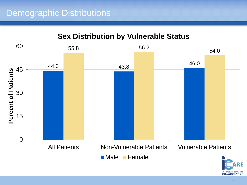#### **Sex Distribution by Vulnerable Status**



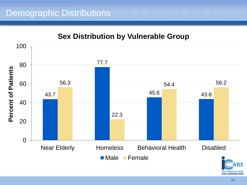#### Demographic Distributions



#### **Sex Distribution by Vulnerable Group**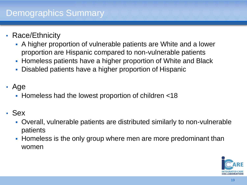- Race/Ethnicity
	- A higher proportion of vulnerable patients are White and a lower proportion are Hispanic compared to non-vulnerable patients
	- **Homeless patients have a higher proportion of White and Black**
	- Disabled patients have a higher proportion of Hispanic
- Age
	- Homeless had the lowest proportion of children <18
- Sex
	- Overall, vulnerable patients are distributed similarly to non-vulnerable patients
	- **Homeless is the only group where men are more predominant than** women

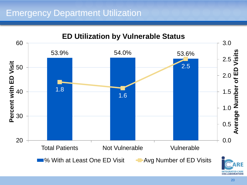### Emergency Department Utilization

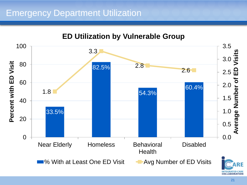### Emergency Department Utilization

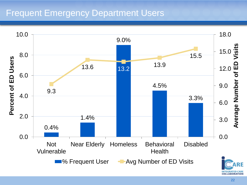#### Frequent Emergency Department Users

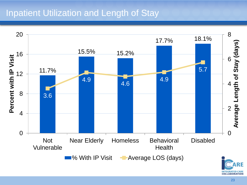#### Inpatient Utilization and Length of Stay

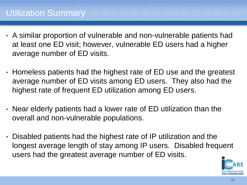#### Utilization Summary

- A similar proportion of vulnerable and non-vulnerable patients had at least one ED visit; however, vulnerable ED users had a higher average number of ED visits.
- Homeless patients had the highest rate of ED use and the greatest average number of ED visits among ED users. They also had the highest rate of frequent ED utilization among ED users.
- Near elderly patients had a lower rate of ED utilization than the overall and non-vulnerable populations.
- Disabled patients had the highest rate of IP utilization and the longest average length of stay among IP users. Disabled frequent users had the greatest average number of ED visits.

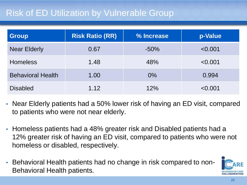# Risk of ED Utilization by Vulnerable Group

| <b>Group</b>             | <b>Risk Ratio (RR)</b> | % Increase | p-Value |
|--------------------------|------------------------|------------|---------|
| <b>Near Elderly</b>      | 0.67                   | $-50%$     | < 0.001 |
| <b>Homeless</b>          | 1.48                   | 48%        | < 0.001 |
| <b>Behavioral Health</b> | 1.00                   | $0\%$      | 0.994   |
| <b>Disabled</b>          | 1.12                   | 12%        | < 0.001 |

- Near Elderly patients had a 50% lower risk of having an ED visit, compared to patients who were not near elderly.
- Homeless patients had a 48% greater risk and Disabled patients had a 12% greater risk of having an ED visit, compared to patients who were not homeless or disabled, respectively.
- Behavioral Health patients had no change in risk compared to non-Behavioral Health patients.

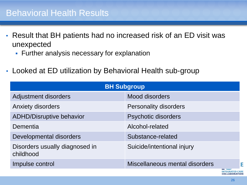#### Behavioral Health Results

- Result that BH patients had no increased risk of an ED visit was unexpected
	- **Further analysis necessary for explanation**
- Looked at ED utilization by Behavioral Health sub-group

| <b>BH Subgroup</b>                          |                                |                 |  |  |
|---------------------------------------------|--------------------------------|-----------------|--|--|
| Adjustment disorders                        | Mood disorders                 |                 |  |  |
| <b>Anxiety disorders</b>                    | <b>Personality disorders</b>   |                 |  |  |
| <b>ADHD/Disruptive behavior</b>             | <b>Psychotic disorders</b>     |                 |  |  |
| Dementia                                    | Alcohol-related                |                 |  |  |
| Developmental disorders                     | Substance-related              |                 |  |  |
| Disorders usually diagnosed in<br>childhood | Suicide/intentional injury     |                 |  |  |
| Impulse control                             | Miscellaneous mental disorders | Е               |  |  |
|                                             |                                | INTEGRATED CARE |  |  |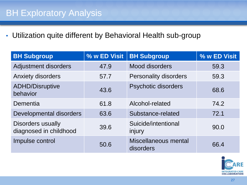### **BH Exploratory Analysis**

• Utilization quite different by Behavioral Health sub-group

| <b>BH Subgroup</b>                                 | % w ED Visit | <b>BH Subgroup</b>                | % w ED Visit |
|----------------------------------------------------|--------------|-----------------------------------|--------------|
| Adjustment disorders                               | 47.9         | <b>Mood disorders</b>             | 59.3         |
| <b>Anxiety disorders</b>                           | 57.7         | <b>Personality disorders</b>      | 59.3         |
| <b>ADHD/Disruptive</b><br>behavior                 | 43.6         | <b>Psychotic disorders</b>        | 68.6         |
| Dementia                                           | 61.8         | Alcohol-related                   | 74.2         |
| Developmental disorders                            | 63.6         | Substance-related                 | 72.1         |
| <b>Disorders usually</b><br>diagnosed in childhood | 39.6         | Suicide/intentional<br>injury     | 90.0         |
| Impulse control                                    | 50.6         | Miscellaneous mental<br>disorders | 66.4         |

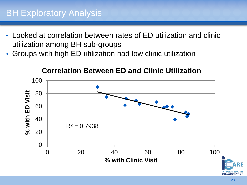#### **BH Exploratory Analysis**

- Looked at correlation between rates of ED utilization and clinic utilization among BH sub-groups
- Groups with high ED utilization had low clinic utilization



#### **Correlation Between ED and Clinic Utilization**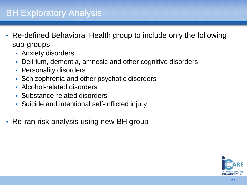#### **BH Exploratory Analysis**

- Re-defined Behavioral Health group to include only the following sub-groups
	- **Anxiety disorders**
	- Delirium, dementia, amnesic and other cognitive disorders
	- **Personality disorders**
	- Schizophrenia and other psychotic disorders
	- Alcohol-related disorders
	- Substance-related disorders
	- Suicide and intentional self-inflicted injury
- Re-ran risk analysis using new BH group

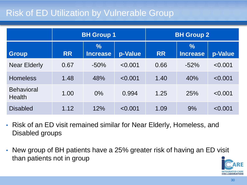# Risk of ED Utilization by Vulnerable Group

|                                    | <b>BH Group 1</b> |                                  |         | <b>BH Group 2</b> |                                  |         |
|------------------------------------|-------------------|----------------------------------|---------|-------------------|----------------------------------|---------|
| <b>Group</b>                       | <b>RR</b>         | $\frac{0}{0}$<br><b>Increase</b> | p-Value | <b>RR</b>         | $\frac{0}{0}$<br><b>Increase</b> | p-Value |
| <b>Near Elderly</b>                | 0.67              | $-50\%$                          | < 0.001 | 0.66              | $-52%$                           | < 0.001 |
| <b>Homeless</b>                    | 1.48              | 48%                              | < 0.001 | 1.40              | 40%                              | < 0.001 |
| <b>Behavioral</b><br><b>Health</b> | 1.00              | 0%                               | 0.994   | 1.25              | 25%                              | < 0.001 |
| <b>Disabled</b>                    | 1.12              | 12%                              | < 0.001 | 1.09              | 9%                               | < 0.001 |

- Risk of an ED visit remained similar for Near Elderly, Homeless, and Disabled groups
- New group of BH patients have a 25% greater risk of having an ED visit than patients not in group

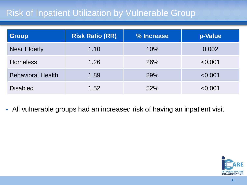# Risk of Inpatient Utilization by Vulnerable Group

| <b>Group</b>             | <b>Risk Ratio (RR)</b> | % Increase | p-Value |
|--------------------------|------------------------|------------|---------|
| <b>Near Elderly</b>      | 1.10                   | 10%        | 0.002   |
| <b>Homeless</b>          | 1.26                   | 26%        | < 0.001 |
| <b>Behavioral Health</b> | 1.89                   | 89%        | < 0.001 |
| <b>Disabled</b>          | 1.52                   | 52%        | < 0.001 |

• All vulnerable groups had an increased risk of having an inpatient visit

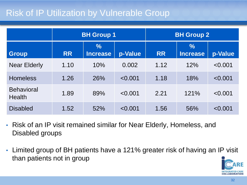# Risk of IP Utilization by Vulnerable Group

|                                    | <b>BH Group 1</b> |                                  |         | <b>BH Group 2</b> |                                  |         |
|------------------------------------|-------------------|----------------------------------|---------|-------------------|----------------------------------|---------|
| <b>Group</b>                       | <b>RR</b>         | $\frac{0}{0}$<br><b>Increase</b> | p-Value | <b>RR</b>         | $\frac{0}{0}$<br><b>Increase</b> | p-Value |
| <b>Near Elderly</b>                | 1.10              | 10%                              | 0.002   | 1.12              | 12%                              | < 0.001 |
| <b>Homeless</b>                    | 1.26              | 26%                              | < 0.001 | 1.18              | 18%                              | < 0.001 |
| <b>Behavioral</b><br><b>Health</b> | 1.89              | 89%                              | < 0.001 | 2.21              | 121%                             | < 0.001 |
| <b>Disabled</b>                    | 1.52              | 52%                              | < 0.001 | 1.56              | 56%                              | < 0.001 |

- Risk of an IP visit remained similar for Near Elderly, Homeless, and Disabled groups
- Limited group of BH patients have a 121% greater risk of having an IP visit than patients not in group

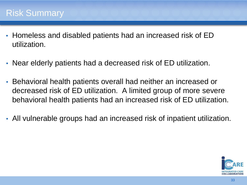#### Risk Summary

- Homeless and disabled patients had an increased risk of ED utilization.
- Near elderly patients had a decreased risk of ED utilization.
- Behavioral health patients overall had neither an increased or decreased risk of ED utilization. A limited group of more severe behavioral health patients had an increased risk of ED utilization.
- All vulnerable groups had an increased risk of inpatient utilization.

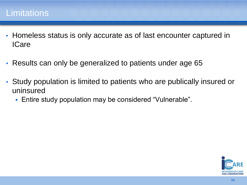#### **Limitations**

- Homeless status is only accurate as of last encounter captured in **ICare**
- Results can only be generalized to patients under age 65
- Study population is limited to patients who are publically insured or uninsured
	- Entire study population may be considered "Vulnerable".